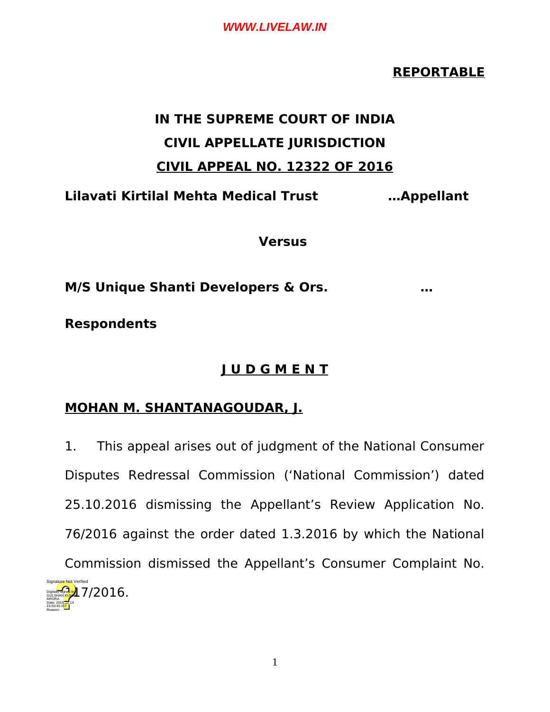# **REPORTABLE**

# **IN THE SUPREME COURT OF INDIA CIVIL APPELLATE JURISDICTION CIVIL APPEAL NO. 12322 OF 2016**

**Lilavati Kirtilal Mehta Medical Trust …Appellant**

**Versus**

**M/S Unique Shanti Developers & Ors. …**

**Respondents**

ARORA

Reason:

# **J U D G M E N T**

# **MOHAN M. SHANTANAGOUDAR, J.**

1. This appeal arises out of judgment of the National Consumer Disputes Redressal Commission ('National Commission') dated 25.10.2016 dismissing the Appellant's Review Application No. 76/2016 against the order dated 1.3.2016 by which the National Commission dismissed the Appellant's Consumer Complaint No. 117/2016. Digitally signed by GÜLSHAN KUMAR Date: 2019.11.14 15:50:45 IST Signature Not Verified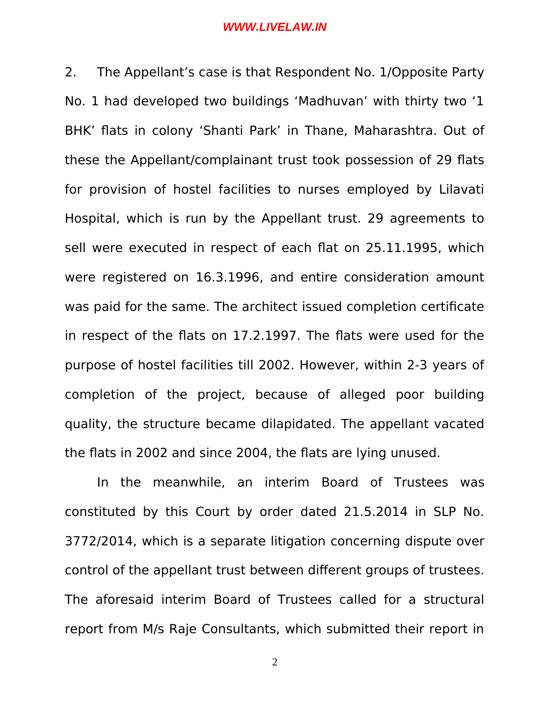2. The Appellant's case is that Respondent No. 1/Opposite Party No. 1 had developed two buildings 'Madhuvan' with thirty two '1 BHK' flats in colony 'Shanti Park' in Thane, Maharashtra. Out of these the Appellant/complainant trust took possession of 29 flats for provision of hostel facilities to nurses employed by Lilavati Hospital, which is run by the Appellant trust. 29 agreements to sell were executed in respect of each flat on 25.11.1995, which were registered on 16.3.1996, and entire consideration amount was paid for the same. The architect issued completion certificate in respect of the flats on 17.2.1997. The flats were used for the purpose of hostel facilities till 2002. However, within 2-3 years of completion of the project, because of alleged poor building quality, the structure became dilapidated. The appellant vacated the flats in 2002 and since 2004, the flats are lying unused.

In the meanwhile, an interim Board of Trustees was constituted by this Court by order dated 21.5.2014 in SLP No. 3772/2014, which is a separate litigation concerning dispute over control of the appellant trust between different groups of trustees. The aforesaid interim Board of Trustees called for a structural report from M/s Raje Consultants, which submitted their report in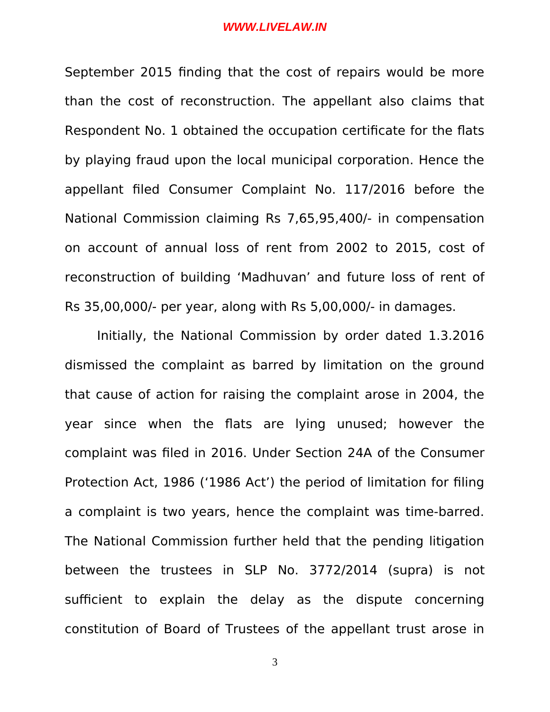September 2015 finding that the cost of repairs would be more than the cost of reconstruction. The appellant also claims that Respondent No. 1 obtained the occupation certificate for the flats by playing fraud upon the local municipal corporation. Hence the appellant filed Consumer Complaint No. 117/2016 before the National Commission claiming Rs 7,65,95,400/- in compensation on account of annual loss of rent from 2002 to 2015, cost of reconstruction of building 'Madhuvan' and future loss of rent of Rs 35,00,000/- per year, along with Rs 5,00,000/- in damages.

Initially, the National Commission by order dated 1.3.2016 dismissed the complaint as barred by limitation on the ground that cause of action for raising the complaint arose in 2004, the year since when the flats are lying unused; however the complaint was filed in 2016. Under Section 24A of the Consumer Protection Act, 1986 ('1986 Act') the period of limitation for filing a complaint is two years, hence the complaint was time-barred. The National Commission further held that the pending litigation between the trustees in SLP No. 3772/2014 (supra) is not sufficient to explain the delay as the dispute concerning constitution of Board of Trustees of the appellant trust arose in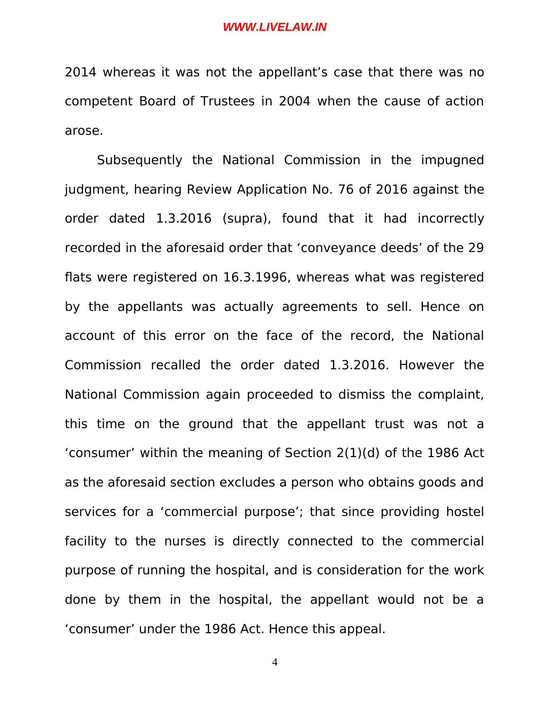2014 whereas it was not the appellant's case that there was no competent Board of Trustees in 2004 when the cause of action arose.

Subsequently the National Commission in the impugned judgment, hearing Review Application No. 76 of 2016 against the order dated 1.3.2016 (supra), found that it had incorrectly recorded in the aforesaid order that 'conveyance deeds' of the 29 flats were registered on 16.3.1996, whereas what was registered by the appellants was actually agreements to sell. Hence on account of this error on the face of the record, the National Commission recalled the order dated 1.3.2016. However the National Commission again proceeded to dismiss the complaint, this time on the ground that the appellant trust was not a 'consumer' within the meaning of Section 2(1)(d) of the 1986 Act as the aforesaid section excludes a person who obtains goods and services for a 'commercial purpose'; that since providing hostel facility to the nurses is directly connected to the commercial purpose of running the hospital, and is consideration for the work done by them in the hospital, the appellant would not be a 'consumer' under the 1986 Act. Hence this appeal.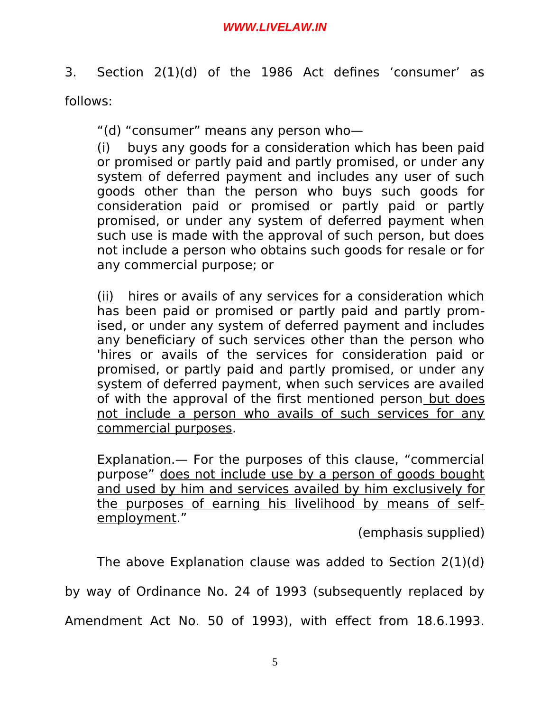3. Section 2(1)(d) of the 1986 Act defines 'consumer' as follows:

"(d) "consumer" means any person who—

(i) buys any goods for a consideration which has been paid or promised or partly paid and partly promised, or under any system of deferred payment and includes any user of such goods other than the person who buys such goods for consideration paid or promised or partly paid or partly promised, or under any system of deferred payment when such use is made with the approval of such person, but does not include a person who obtains such goods for resale or for any commercial purpose; or

(ii) hires or avails of any services for a consideration which has been paid or promised or partly paid and partly promised, or under any system of deferred payment and includes any beneficiary of such services other than the person who 'hires or avails of the services for consideration paid or promised, or partly paid and partly promised, or under any system of deferred payment, when such services are availed of with the approval of the first mentioned person but does not include a person who avails of such services for any commercial purposes.

Explanation.— For the purposes of this clause, "commercial purpose" does not include use by a person of goods bought and used by him and services availed by him exclusively for the purposes of earning his livelihood by means of selfemployment."

(emphasis supplied)

The above Explanation clause was added to Section 2(1)(d)

by way of Ordinance No. 24 of 1993 (subsequently replaced by

Amendment Act No. 50 of 1993), with effect from 18.6.1993.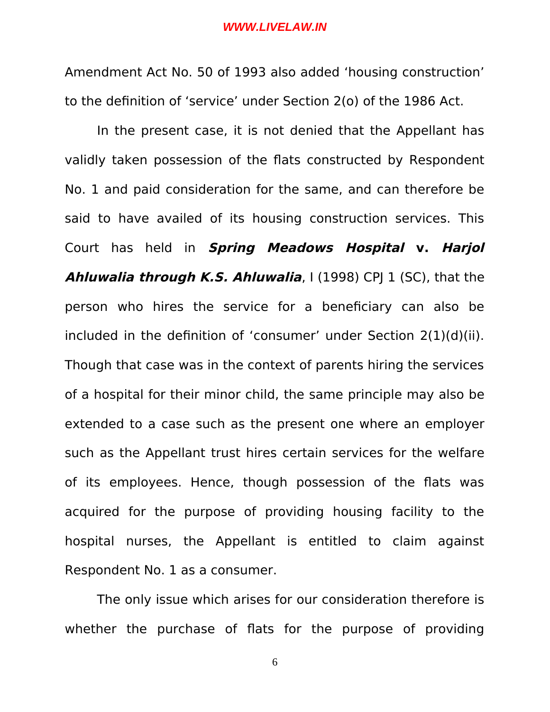Amendment Act No. 50 of 1993 also added 'housing construction' to the definition of 'service' under Section 2(o) of the 1986 Act.

In the present case, it is not denied that the Appellant has validly taken possession of the flats constructed by Respondent No. 1 and paid consideration for the same, and can therefore be said to have availed of its housing construction services. This Court has held in **Spring Meadows Hospital v. Harjol Ahluwalia through K.S. Ahluwalia**, I (1998) CPJ 1 (SC), that the person who hires the service for a beneficiary can also be included in the definition of 'consumer' under Section 2(1)(d)(ii). Though that case was in the context of parents hiring the services of a hospital for their minor child, the same principle may also be extended to a case such as the present one where an employer such as the Appellant trust hires certain services for the welfare of its employees. Hence, though possession of the flats was acquired for the purpose of providing housing facility to the hospital nurses, the Appellant is entitled to claim against Respondent No. 1 as a consumer.

The only issue which arises for our consideration therefore is whether the purchase of flats for the purpose of providing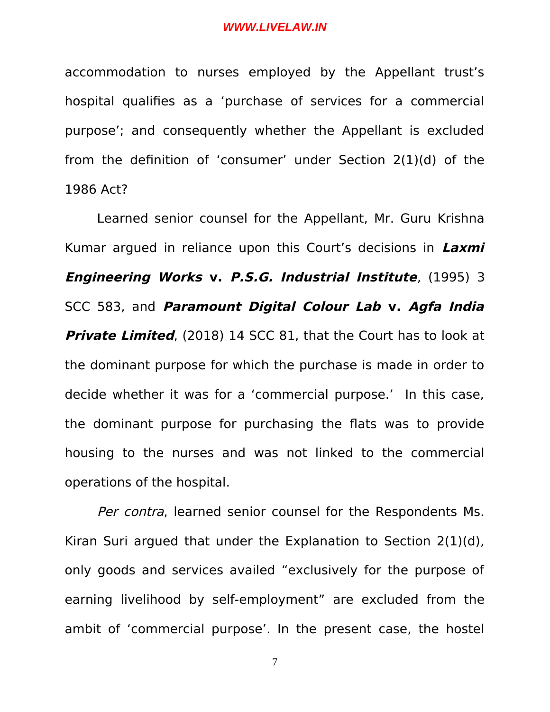accommodation to nurses employed by the Appellant trust's hospital qualifies as a 'purchase of services for a commercial purpose'; and consequently whether the Appellant is excluded from the definition of 'consumer' under Section 2(1)(d) of the 1986 Act?

Learned senior counsel for the Appellant, Mr. Guru Krishna Kumar argued in reliance upon this Court's decisions in **Laxmi Engineering Works v. P.S.G. Industrial Institute**, (1995) 3 SCC 583, and **Paramount Digital Colour Lab v. Agfa India Private Limited**, (2018) 14 SCC 81, that the Court has to look at the dominant purpose for which the purchase is made in order to decide whether it was for a 'commercial purpose.' In this case, the dominant purpose for purchasing the flats was to provide housing to the nurses and was not linked to the commercial operations of the hospital.

Per contra, learned senior counsel for the Respondents Ms. Kiran Suri argued that under the Explanation to Section 2(1)(d), only goods and services availed "exclusively for the purpose of earning livelihood by self-employment" are excluded from the ambit of 'commercial purpose'. In the present case, the hostel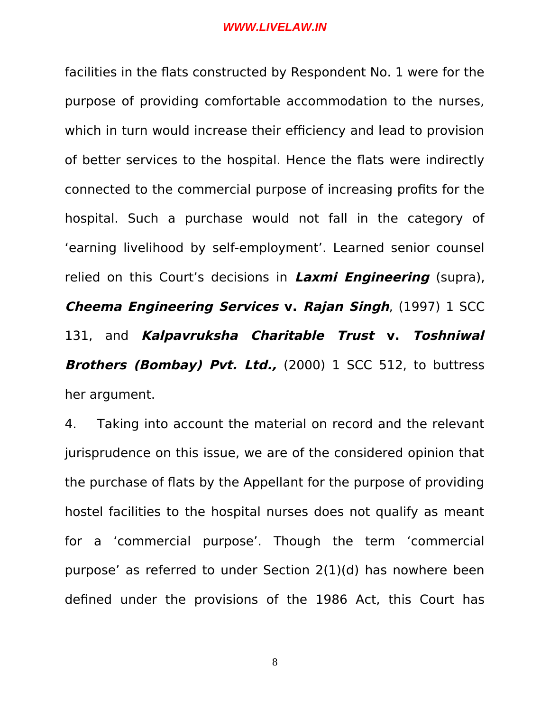facilities in the flats constructed by Respondent No. 1 were for the purpose of providing comfortable accommodation to the nurses, which in turn would increase their efficiency and lead to provision of better services to the hospital. Hence the flats were indirectly connected to the commercial purpose of increasing profits for the hospital. Such a purchase would not fall in the category of 'earning livelihood by self-employment'. Learned senior counsel relied on this Court's decisions in **Laxmi Engineering** (supra), **Cheema Engineering Services v. Rajan Singh**, (1997) 1 SCC 131, and **Kalpavruksha Charitable Trust v. Toshniwal Brothers (Bombay) Pvt. Ltd.,** (2000) 1 SCC 512, to buttress her argument.

4. Taking into account the material on record and the relevant jurisprudence on this issue, we are of the considered opinion that the purchase of flats by the Appellant for the purpose of providing hostel facilities to the hospital nurses does not qualify as meant for a 'commercial purpose'. Though the term 'commercial purpose' as referred to under Section 2(1)(d) has nowhere been defined under the provisions of the 1986 Act, this Court has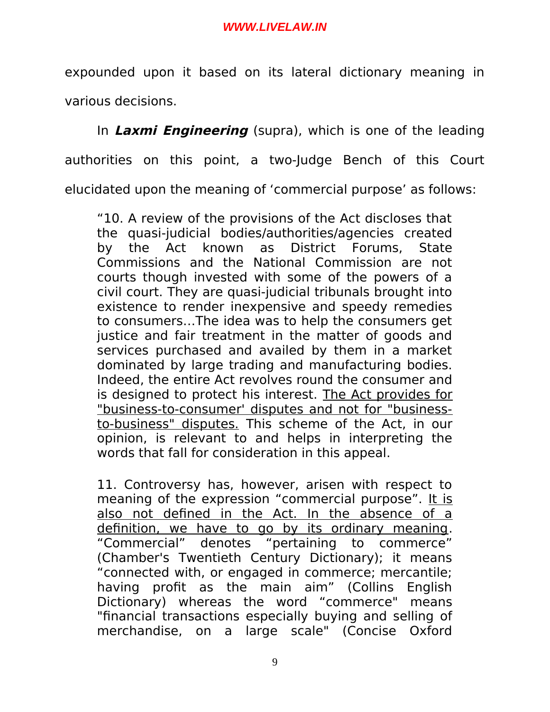expounded upon it based on its lateral dictionary meaning in various decisions.

In **Laxmi Engineering** (supra), which is one of the leading authorities on this point, a two-Judge Bench of this Court elucidated upon the meaning of 'commercial purpose' as follows:

"10. A review of the provisions of the Act discloses that the quasi-judicial bodies/authorities/agencies created by the Act known as District Forums, State Commissions and the National Commission are not courts though invested with some of the powers of a civil court. They are quasi-judicial tribunals brought into existence to render inexpensive and speedy remedies to consumers…The idea was to help the consumers get justice and fair treatment in the matter of goods and services purchased and availed by them in a market dominated by large trading and manufacturing bodies. Indeed, the entire Act revolves round the consumer and is designed to protect his interest. The Act provides for "business-to-consumer' disputes and not for "businessto-business" disputes. This scheme of the Act, in our opinion, is relevant to and helps in interpreting the words that fall for consideration in this appeal.

11. Controversy has, however, arisen with respect to meaning of the expression "commercial purpose". It is also not defined in the Act. In the absence of a definition, we have to go by its ordinary meaning. "Commercial" denotes "pertaining to commerce" (Chamber's Twentieth Century Dictionary); it means "connected with, or engaged in commerce; mercantile; having profit as the main aim" (Collins English Dictionary) whereas the word "commerce" means "financial transactions especially buying and selling of merchandise, on a large scale" (Concise Oxford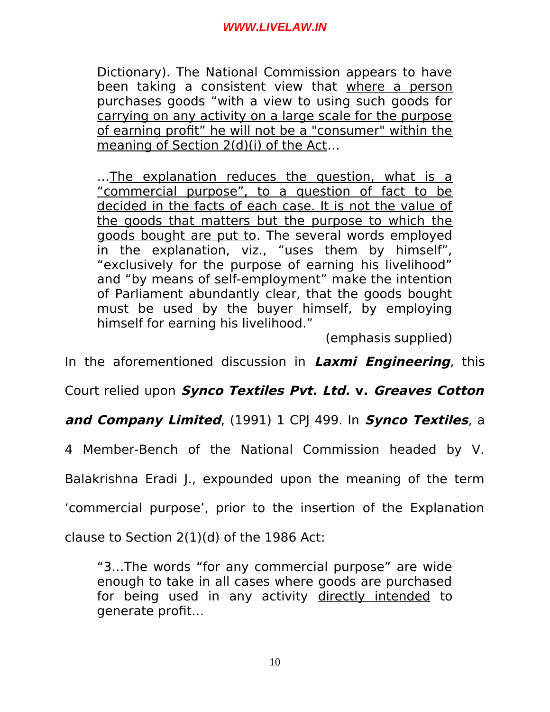Dictionary). The National Commission appears to have been taking a consistent view that where a person purchases goods "with a view to using such goods for carrying on any activity on a large scale for the purpose of earning profit" he will not be a "consumer" within the meaning of Section 2(d)(i) of the Act…

... The explanation reduces the question, what is a "commercial purpose", to a question of fact to be decided in the facts of each case. It is not the value of the goods that matters but the purpose to which the goods bought are put to. The several words employed in the explanation, viz., "uses them by himself", "exclusively for the purpose of earning his livelihood" and "by means of self-employment" make the intention of Parliament abundantly clear, that the goods bought must be used by the buyer himself, by employing himself for earning his livelihood."

(emphasis supplied)

In the aforementioned discussion in **Laxmi Engineering**, this

Court relied upon **Synco Textiles Pvt. Ltd. v. Greaves Cotton**

**and Company Limited**, (1991) 1 CPJ 499. In **Synco Textiles**, a

4 Member-Bench of the National Commission headed by V.

Balakrishna Eradi J., expounded upon the meaning of the term

'commercial purpose', prior to the insertion of the Explanation

clause to Section 2(1)(d) of the 1986 Act:

"3…The words "for any commercial purpose" are wide enough to take in all cases where goods are purchased for being used in any activity directly intended to generate profit…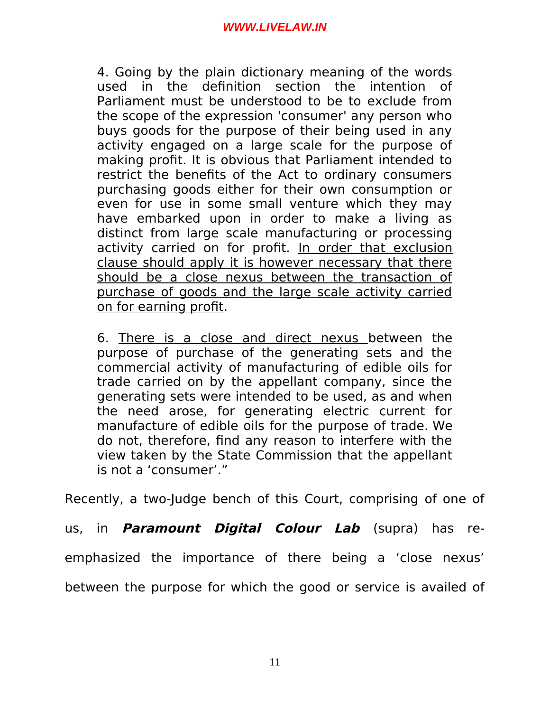4. Going by the plain dictionary meaning of the words used in the definition section the intention of Parliament must be understood to be to exclude from the scope of the expression 'consumer' any person who buys goods for the purpose of their being used in any activity engaged on a large scale for the purpose of making profit. It is obvious that Parliament intended to restrict the benefits of the Act to ordinary consumers purchasing goods either for their own consumption or even for use in some small venture which they may have embarked upon in order to make a living as distinct from large scale manufacturing or processing activity carried on for profit. In order that exclusion clause should apply it is however necessary that there should be a close nexus between the transaction of purchase of goods and the large scale activity carried on for earning profit.

6. There is a close and direct nexus between the purpose of purchase of the generating sets and the commercial activity of manufacturing of edible oils for trade carried on by the appellant company, since the generating sets were intended to be used, as and when the need arose, for generating electric current for manufacture of edible oils for the purpose of trade. We do not, therefore, find any reason to interfere with the view taken by the State Commission that the appellant is not a 'consumer'."

Recently, a two-Judge bench of this Court, comprising of one of

us, in **Paramount Digital Colour Lab** (supra) has re-

emphasized the importance of there being a 'close nexus'

between the purpose for which the good or service is availed of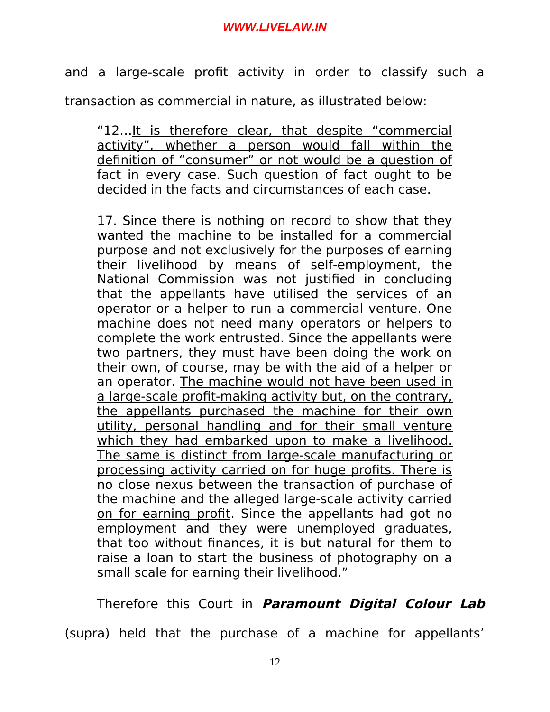and a large-scale profit activity in order to classify such a

transaction as commercial in nature, as illustrated below:

"12…It is therefore clear, that despite "commercial activity", whether a person would fall within the definition of "consumer" or not would be a question of fact in every case. Such question of fact ought to be decided in the facts and circumstances of each case.

17. Since there is nothing on record to show that they wanted the machine to be installed for a commercial purpose and not exclusively for the purposes of earning their livelihood by means of self-employment, the National Commission was not justified in concluding that the appellants have utilised the services of an operator or a helper to run a commercial venture. One machine does not need many operators or helpers to complete the work entrusted. Since the appellants were two partners, they must have been doing the work on their own, of course, may be with the aid of a helper or an operator. The machine would not have been used in a large-scale profit-making activity but, on the contrary, the appellants purchased the machine for their own utility, personal handling and for their small venture which they had embarked upon to make a livelihood. The same is distinct from large-scale manufacturing or processing activity carried on for huge profits. There is no close nexus between the transaction of purchase of the machine and the alleged large-scale activity carried on for earning profit. Since the appellants had got no employment and they were unemployed graduates, that too without finances, it is but natural for them to raise a loan to start the business of photography on a small scale for earning their livelihood."

Therefore this Court in **Paramount Digital Colour Lab** (supra) held that the purchase of a machine for appellants'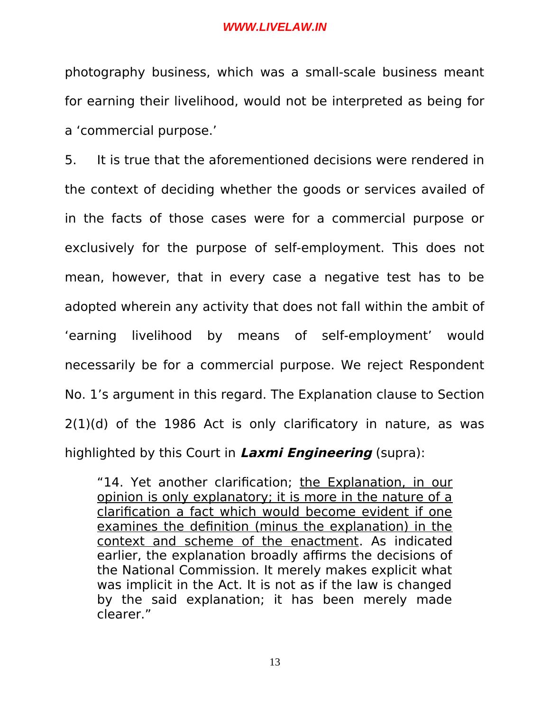photography business, which was a small-scale business meant for earning their livelihood, would not be interpreted as being for a 'commercial purpose.'

5. It is true that the aforementioned decisions were rendered in the context of deciding whether the goods or services availed of in the facts of those cases were for a commercial purpose or exclusively for the purpose of self-employment. This does not mean, however, that in every case a negative test has to be adopted wherein any activity that does not fall within the ambit of 'earning livelihood by means of self-employment' would necessarily be for a commercial purpose. We reject Respondent No. 1's argument in this regard. The Explanation clause to Section 2(1)(d) of the 1986 Act is only clarificatory in nature, as was highlighted by this Court in **Laxmi Engineering** (supra):

"14. Yet another clarification; the Explanation, in our opinion is only explanatory; it is more in the nature of a clarification a fact which would become evident if one examines the definition (minus the explanation) in the context and scheme of the enactment. As indicated earlier, the explanation broadly affirms the decisions of the National Commission. It merely makes explicit what was implicit in the Act. It is not as if the law is changed by the said explanation; it has been merely made clearer."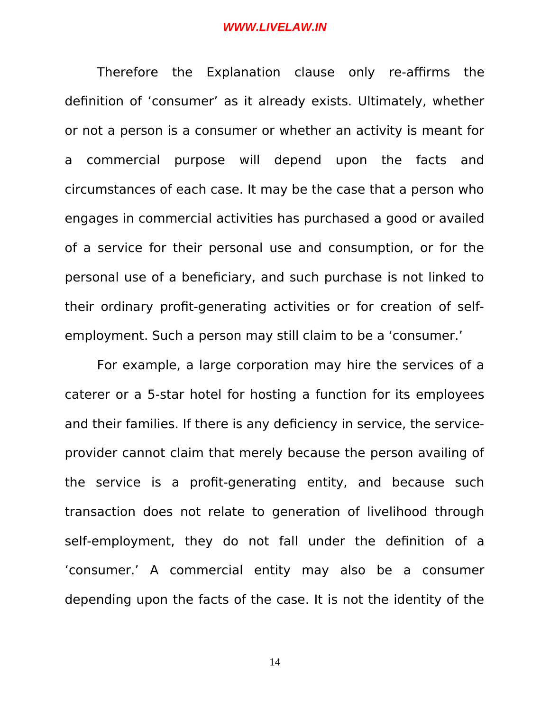Therefore the Explanation clause only re-affirms the definition of 'consumer' as it already exists. Ultimately, whether or not a person is a consumer or whether an activity is meant for a commercial purpose will depend upon the facts and circumstances of each case. It may be the case that a person who engages in commercial activities has purchased a good or availed of a service for their personal use and consumption, or for the personal use of a beneficiary, and such purchase is not linked to their ordinary profit-generating activities or for creation of selfemployment. Such a person may still claim to be a 'consumer.'

For example, a large corporation may hire the services of a caterer or a 5-star hotel for hosting a function for its employees and their families. If there is any deficiency in service, the serviceprovider cannot claim that merely because the person availing of the service is a profit-generating entity, and because such transaction does not relate to generation of livelihood through self-employment, they do not fall under the definition of a 'consumer.' A commercial entity may also be a consumer depending upon the facts of the case. It is not the identity of the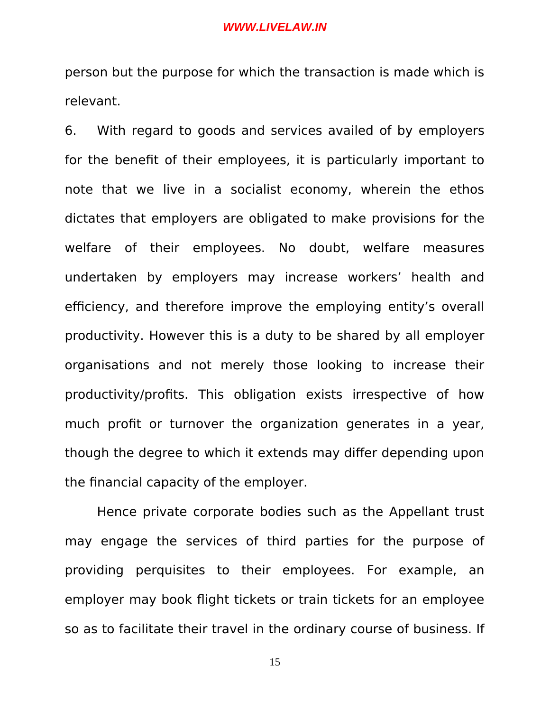person but the purpose for which the transaction is made which is relevant.

6. With regard to goods and services availed of by employers for the benefit of their employees, it is particularly important to note that we live in a socialist economy, wherein the ethos dictates that employers are obligated to make provisions for the welfare of their employees. No doubt, welfare measures undertaken by employers may increase workers' health and efficiency, and therefore improve the employing entity's overall productivity. However this is a duty to be shared by all employer organisations and not merely those looking to increase their productivity/profits. This obligation exists irrespective of how much profit or turnover the organization generates in a year, though the degree to which it extends may differ depending upon the financial capacity of the employer.

Hence private corporate bodies such as the Appellant trust may engage the services of third parties for the purpose of providing perquisites to their employees. For example, an employer may book flight tickets or train tickets for an employee so as to facilitate their travel in the ordinary course of business. If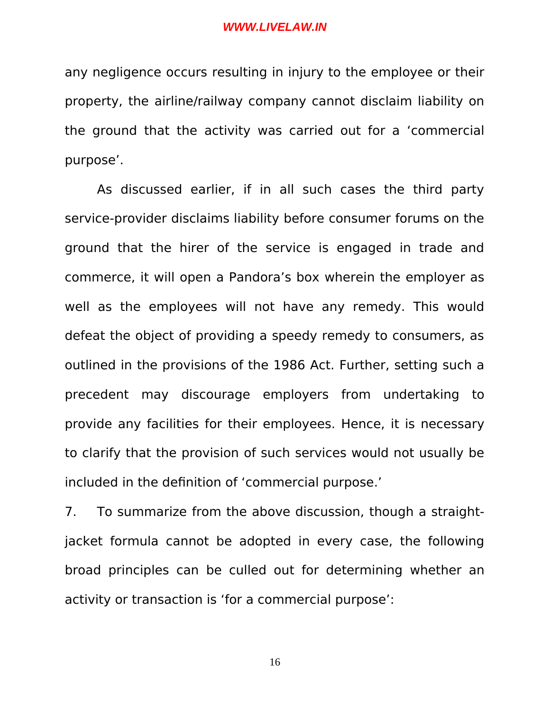any negligence occurs resulting in injury to the employee or their property, the airline/railway company cannot disclaim liability on the ground that the activity was carried out for a 'commercial purpose'.

As discussed earlier, if in all such cases the third party service-provider disclaims liability before consumer forums on the ground that the hirer of the service is engaged in trade and commerce, it will open a Pandora's box wherein the employer as well as the employees will not have any remedy. This would defeat the object of providing a speedy remedy to consumers, as outlined in the provisions of the 1986 Act. Further, setting such a precedent may discourage employers from undertaking to provide any facilities for their employees. Hence, it is necessary to clarify that the provision of such services would not usually be included in the definition of 'commercial purpose.'

7. To summarize from the above discussion, though a straightjacket formula cannot be adopted in every case, the following broad principles can be culled out for determining whether an activity or transaction is 'for a commercial purpose':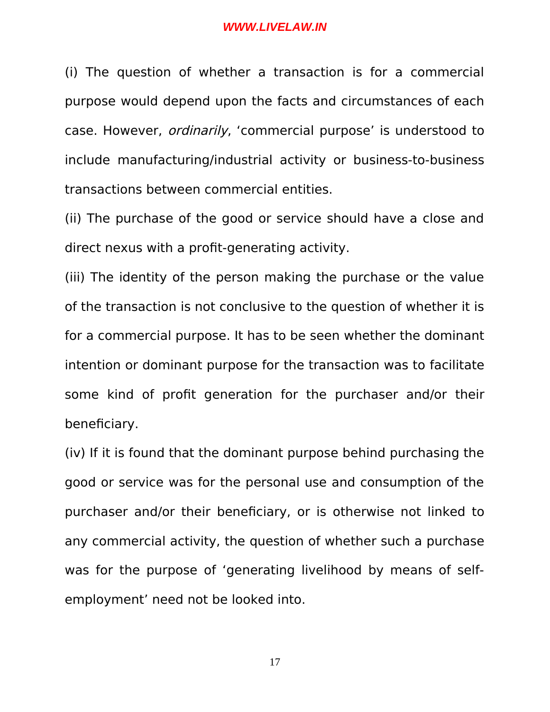(i) The question of whether a transaction is for a commercial purpose would depend upon the facts and circumstances of each case. However, ordinarily, 'commercial purpose' is understood to include manufacturing/industrial activity or business-to-business transactions between commercial entities.

(ii) The purchase of the good or service should have a close and direct nexus with a profit-generating activity.

(iii) The identity of the person making the purchase or the value of the transaction is not conclusive to the question of whether it is for a commercial purpose. It has to be seen whether the dominant intention or dominant purpose for the transaction was to facilitate some kind of profit generation for the purchaser and/or their beneficiary.

(iv) If it is found that the dominant purpose behind purchasing the good or service was for the personal use and consumption of the purchaser and/or their beneficiary, or is otherwise not linked to any commercial activity, the question of whether such a purchase was for the purpose of 'generating livelihood by means of selfemployment' need not be looked into.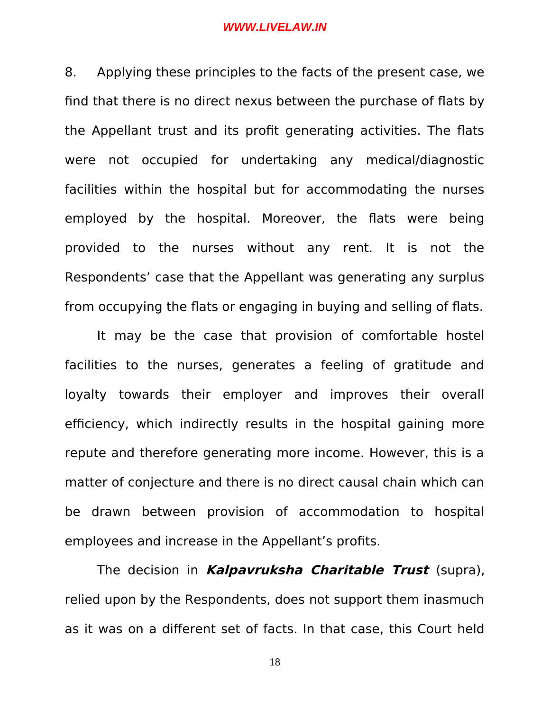8. Applying these principles to the facts of the present case, we find that there is no direct nexus between the purchase of flats by the Appellant trust and its profit generating activities. The flats were not occupied for undertaking any medical/diagnostic facilities within the hospital but for accommodating the nurses employed by the hospital. Moreover, the flats were being provided to the nurses without any rent. It is not the Respondents' case that the Appellant was generating any surplus from occupying the flats or engaging in buying and selling of flats.

It may be the case that provision of comfortable hostel facilities to the nurses, generates a feeling of gratitude and loyalty towards their employer and improves their overall efficiency, which indirectly results in the hospital gaining more repute and therefore generating more income. However, this is a matter of conjecture and there is no direct causal chain which can be drawn between provision of accommodation to hospital employees and increase in the Appellant's profits.

The decision in **Kalpavruksha Charitable Trust** (supra), relied upon by the Respondents, does not support them inasmuch as it was on a different set of facts. In that case, this Court held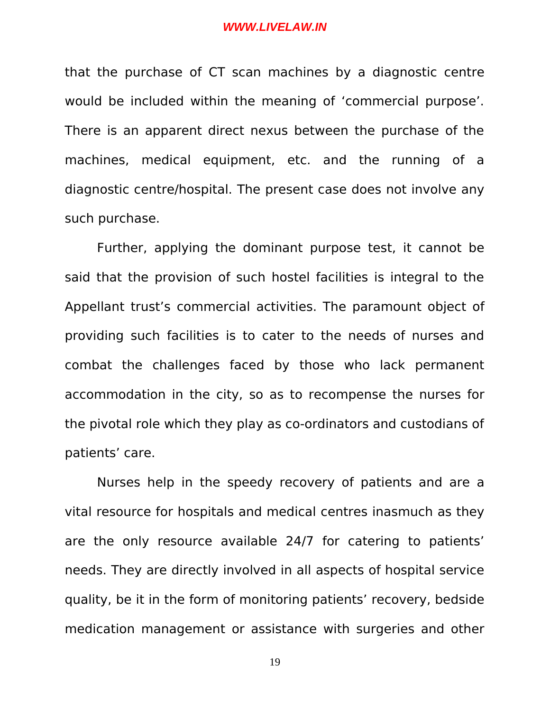that the purchase of CT scan machines by a diagnostic centre would be included within the meaning of 'commercial purpose'. There is an apparent direct nexus between the purchase of the machines, medical equipment, etc. and the running of a diagnostic centre/hospital. The present case does not involve any such purchase.

Further, applying the dominant purpose test, it cannot be said that the provision of such hostel facilities is integral to the Appellant trust's commercial activities. The paramount object of providing such facilities is to cater to the needs of nurses and combat the challenges faced by those who lack permanent accommodation in the city, so as to recompense the nurses for the pivotal role which they play as co-ordinators and custodians of patients' care.

Nurses help in the speedy recovery of patients and are a vital resource for hospitals and medical centres inasmuch as they are the only resource available 24/7 for catering to patients' needs. They are directly involved in all aspects of hospital service quality, be it in the form of monitoring patients' recovery, bedside medication management or assistance with surgeries and other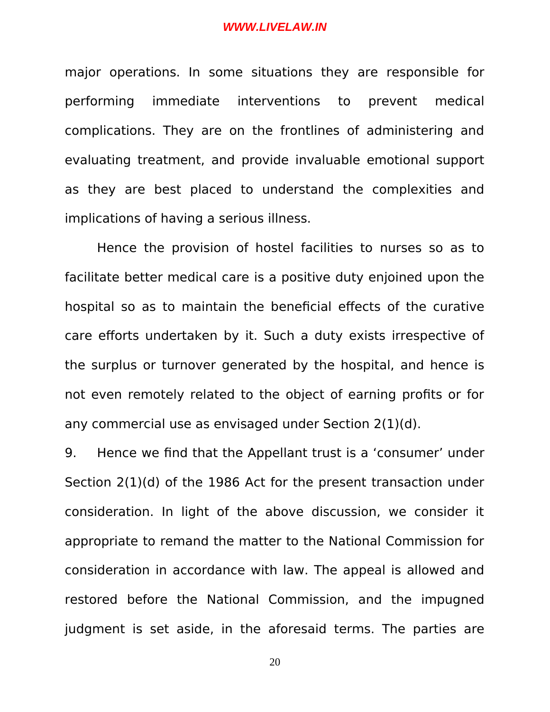major operations. In some situations they are responsible for performing immediate interventions to prevent medical complications. They are on the frontlines of administering and evaluating treatment, and provide invaluable emotional support as they are best placed to understand the complexities and implications of having a serious illness.

Hence the provision of hostel facilities to nurses so as to facilitate better medical care is a positive duty enjoined upon the hospital so as to maintain the beneficial effects of the curative care efforts undertaken by it. Such a duty exists irrespective of the surplus or turnover generated by the hospital, and hence is not even remotely related to the object of earning profits or for any commercial use as envisaged under Section 2(1)(d).

9. Hence we find that the Appellant trust is a 'consumer' under Section 2(1)(d) of the 1986 Act for the present transaction under consideration. In light of the above discussion, we consider it appropriate to remand the matter to the National Commission for consideration in accordance with law. The appeal is allowed and restored before the National Commission, and the impugned judgment is set aside, in the aforesaid terms. The parties are